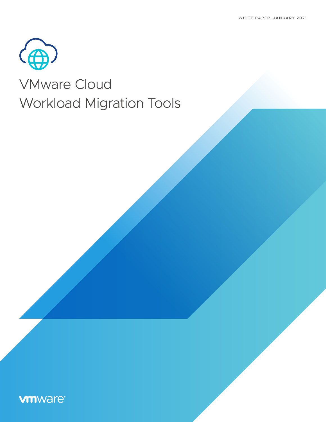

# VMware Cloud Workload Migration Tools

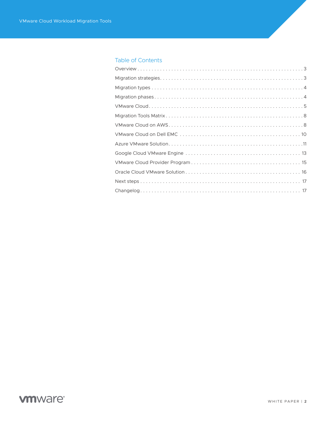#### Table of Contents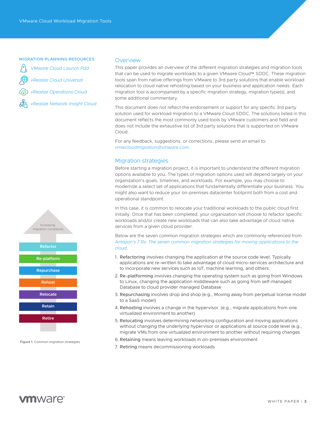#### <span id="page-2-0"></span>MIGRATION PLANNING RESOURCES

*[VMware Cloud Launch Pad](https://vmc.vmware.com/solutions/migration/journey)*

*[vRealize Cloud Universal](https://cloud.vmware.com/vrealize-cloud-universal)*

*[vRealize Operations Cloud](https://cloud.vmware.com/vrealize-operations-cloud)*

*[vRealize Network Insight Cloud](https://cloud.vmware.com/network-insight-cloud)*

# **Refactor Re-platform Rehost Repurchase Relocate Retain Retire** Increasing migration complexity

Figure 1: Common migration strategies

#### **Overview**

This paper provides an overview of the different migration strategies and migration tools that can be used to migrate workloads to a given VMware Cloud™ SDDC. These migration tools span from native offerings from VMware to 3rd party solutions that enable workload relocation to cloud native rehosting based on your business and application needs. Each migration tool is accompanied by a specific migration strategy, migration type(s), and some additional commentary.

This document does not reflect the endorsement or support for any specific 3rd party solution used for workload migration to a VMware Cloud SDDC. The solutions listed in this document reflects the most commonly used tools by VMware customers and field and does not include the exhaustive list of 3rd party solutions that is supported on VMware Cloud.

For any feedback, suggestions, or corrections, please send an email to: *[vmwcloudmigration@vmware.com](mailto:vmwcloudmigration%40vmware.com?subject=)*.

#### Migration strategies

Before starting a migration project, it is important to understand the different migration options available to you. The types of migration options used will depend largely on your organization's goals, timelines, and workloads. For example, you may choose to modernize a select set of applications that fundamentally differentiate your business. You might also want to reduce your on-premises datacenter footprint both from a cost and operational standpoint.

In this case, it is common to relocate your traditional workloads to the public cloud first initially. Once that has been completed, your organization will choose to refactor specific workloads and/or create new workloads that can also take advantage of cloud native services from a given cloud provider.

Below are the seven common migration strategies which are commonly referenced from *[Amazon's 7 Rs: The seven common migration strategies for moving applications to the](https://docs.aws.amazon.com/prescriptive-guidance/latest/migration-retiring-applications/migration-retiring-applications.pdf)  [cloud](https://docs.aws.amazon.com/prescriptive-guidance/latest/migration-retiring-applications/migration-retiring-applications.pdf)*.

- 1. Refactoring involves changing the application at the source code level. Typically applications are re-written to take advantage of cloud micro-services architecture and to incorporate new services such as IoT, machine learning, and others.
- 2. Re-platforming involves changing the operating system such as going from Windows to Linux, changing the application middleware such as going from self-managed Database to cloud provider managed Database
- 3. Repurchasing involves drop and shop (e.g., Moving away from perpetual license model to a SaaS model)
- 4. Rehosting involves a change in the hypervisor. (e.g., migrate applications from one virtualized environment to another)
- 5. Relocating involves determining networking configuration and moving applications without changing the underlying hypervisor or applications at source code level (e.g., migrate VMs from one virtualized environment to another without requiring changes
- 6. Retaining means leaving workloads in on-premises environment
- 7. Retiring means decommissioning workloads

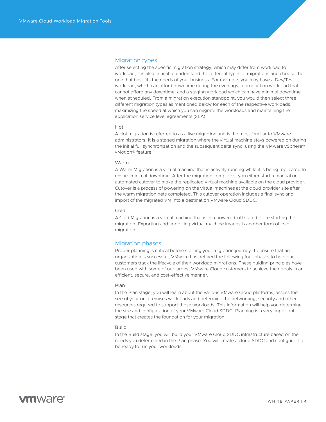#### <span id="page-3-0"></span>Migration types

After selecting the specific migration strategy, which may differ from workload to workload, it is also critical to understand the different types of migrations and choose the one that best fits the needs of your business. For example, you may have a Dev/Test workload, which can afford downtime during the evenings, a production workload that cannot afford any downtime, and a staging workload which can have minimal downtime when scheduled. From a migration execution standpoint, you would then select three different migration types as mentioned below for each of the respective workloads, maximizing the speed at which you can migrate the workloads and maintaining the application service level agreements (SLA).

#### Hot

A Hot migration is referred to as a live migration and is the most familiar to VMware administrators. It is a staged migration where the virtual machine stays powered on during the initial full synchronization and the subsequent delta sync, using the VMware vSphere® vMotion® feature.

#### Warm

A Warm Migration is a virtual machine that is actively running while it is being replicated to ensure minimal downtime. After the migration completes, you either start a manual or automated cutover to make the replicated virtual machine available on the cloud provider. Cutover is a process of powering on the virtual machines at the cloud provider site after the warm migration gets completed. This cutover operation includes a final sync and import of the migrated VM into a destination VMware Cloud SDDC.

#### Cold

A Cold Migration is a virtual machine that is in a powered-off state before starting the migration. Exporting and Importing virtual machine images is another form of cold migration.

#### Migration phases

Proper planning is critical before starting your migration journey. To ensure that an organization is successful, VMware has defined the following four phases to help our customers track the lifecycle of their workload migrations. These guiding principles have been used with some of our largest VMware Cloud customers to achieve their goals in an efficient, secure, and cost-effective manner.

#### Plan

In the Plan stage, you will learn about the various VMware Cloud platforms, assess the size of your on-premises workloads and determine the networking, security and other resources required to support those workloads. This information will help you determine the size and configuration of your VMware Cloud SDDC. Planning is a very important stage that creates the foundation for your migration.

#### Build

In the Build stage, you will build your VMware Cloud SDDC infrastructure based on the needs you determined in the Plan phase. You will create a cloud SDDC and configure it to be ready to run your workloads.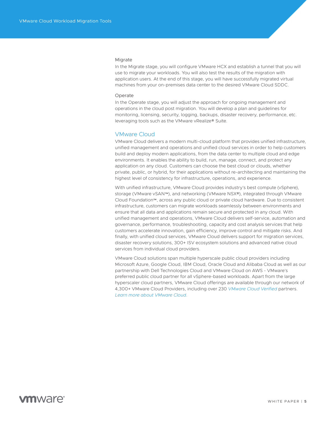#### <span id="page-4-0"></span>Migrate

In the Migrate stage, you will configure VMware HCX and establish a tunnel that you will use to migrate your workloads. You will also test the results of the migration with application users. At the end of this stage, you will have successfully migrated virtual machines from your on-premises data center to the desired VMware Cloud SDDC.

#### Operate

In the Operate stage, you will adjust the approach for ongoing management and operations in the cloud post migration. You will develop a plan and guidelines for monitoring, licensing, security, logging, backups, disaster recovery, performance, etc. leveraging tools such as the VMware vRealize® Suite.

#### VMware Cloud

VMware Cloud delivers a modern multi-cloud platform that provides unified infrastructure, unified management and operations and unified cloud services in order to help customers build and deploy modern applications, from the data center to multiple cloud and edge environments. It enables the ability to build, run, manage, connect, and protect any application on any cloud. Customers can choose the best cloud or clouds, whether private, public, or hybrid, for their applications without re-architecting and maintaining the highest level of consistency for infrastructure, operations, and experience.

With unified infrastructure, VMware Cloud provides industry's best compute (vSphere), storage (VMware vSAN™), and networking (VMware NSX®), integrated through VMware Cloud Foundation™, across any public cloud or private cloud hardware. Due to consistent infrastructure, customers can migrate workloads seamlessly between environments and ensure that all data and applications remain secure and protected in any cloud. With unified management and operations, VMware Cloud delivers self-service, automation and governance, performance, troubleshooting, capacity and cost analysis services that help customers accelerate innovation, gain efficiency, improve control and mitigate risks. And finally, with unified cloud services, VMware Cloud delivers support for migration services, disaster recovery solutions, 300+ ISV ecosystem solutions and advanced native cloud services from individual cloud providers.

VMware Cloud solutions span multiple hyperscale public cloud providers including Microsoft Azure, Google Cloud, IBM Cloud, Oracle Cloud and Alibaba Cloud as well as our partnership with Dell Technologies Cloud and VMware Cloud on AWS - VMware's preferred public cloud partner for all vSphere-based workloads. Apart from the large hyperscaler cloud partners, VMware Cloud offerings are available through our network of 4,300+ VMware Cloud Providers, including over 230 *[VMware Cloud Verified](https://cloud.vmware.com/providers/vmware-cloud-verified)* partners. *[Learn more about VMware Cloud.](https://cloud.vmware.com/)*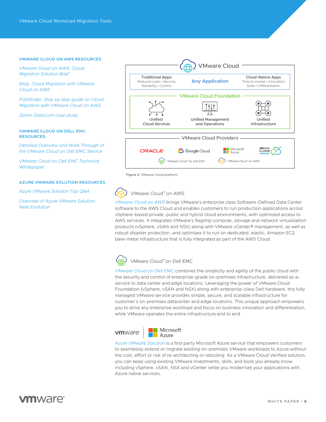#### **VMWARE CLOUD ON AWS RESOURCES**

*[VMware Cloud on AWS: Cloud](https://assets.contentstack.io/v3/assets/blt58b49a8a0e43b5ff/bltce8894697b775284/5ee2bc18fa278502ac00ddaf/VMware_Cloud_on_AWS_Cloud_Migration_Solution_Brief.pdf)  [Migration Solution Brief](https://assets.contentstack.io/v3/assets/blt58b49a8a0e43b5ff/bltce8894697b775284/5ee2bc18fa278502ac00ddaf/VMware_Cloud_on_AWS_Cloud_Migration_Solution_Brief.pdf)*

*[Blog: Cloud Migration with VMware](https://cloud.vmware.com/community/2019/03/27/vmware-cloud-aws-get-basics-right-part-2-cloud-migration/)  [Cloud on AWS](https://cloud.vmware.com/community/2019/03/27/vmware-cloud-aws-get-basics-right-part-2-cloud-migration/)*

*[Pathfinder: Step by step guide on Cloud](https://pathfinder.vmware.com/path/cloud_migration_with_vmware_cloud_on_aws)  [Migration with VMware Cloud on AWS](https://pathfinder.vmware.com/path/cloud_migration_with_vmware_cloud_on_aws)*

*[Zenrin DataCom case study](https://assets.contentstack.io/v3/assets/blt58b49a8a0e43b5ff/blt263fe2b42fae73a9/5e8e5d625a734429ba9269f0/Zenrin_DataCom_CaseStudy.pdf)*

#### **VMWARE CLOUD ON DELL EMC RESOURCES**

*[Detailed Overview and Walk Through of](https://www.vmware.com/content/dam/digitalmarketing/vmware/en/pdf/products/vmware-vmc-on-dell-emc-walkthrough.pdf)  [the VMware Cloud on Dell EMC Service](https://www.vmware.com/content/dam/digitalmarketing/vmware/en/pdf/products/vmware-vmc-on-dell-emc-walkthrough.pdf)*

*[VMware Cloud on Dell EMC Technical](https://www.vmware.com/content/dam/digitalmarketing/vmware/en/pdf/products/vmware-cloud-dell-emc-technical-white-paper.pdf)  [Whitepaper](https://www.vmware.com/content/dam/digitalmarketing/vmware/en/pdf/products/vmware-cloud-dell-emc-technical-white-paper.pdf)*

#### **AZURE VMWARE SOLUTION RESOURCES**

*[Azure VMware Solution Top Q&A](https://www.vmware.com/content/dam/digitalmarketing/vmware/en/pdf/partners/vmw-faq-temp.pdf)*

*[Overview of Azure VMware Solution](https://emadyounis.com/overview-of-azure-vmware-solution-next-evolution/)  [Next Evolution](https://emadyounis.com/overview-of-azure-vmware-solution-next-evolution/)*



Figure 2: VMware Cloud platform

## VMware Cloud" on AWS

*[VMware Cloud on AWS](https://cloud.vmware.com/vmc-aws)* brings VMware's enterprise class Software-Defined Data Center software to the AWS Cloud and enables customers to run production applications across vSphere-based private, public and hybrid cloud environments, with optimized access to AWS services. It integrates VMware's flagship compute, storage and network virtualization products (vSphere, vSAN and NSX) along with VMware vCenter® management, as well as robust disaster protection, and optimizes it to run on dedicated, elastic, Amazon EC2 bare-metal infrastructure that is fully integrated as part of the AWS Cloud.



#### VMware Cloud" on Dell EMC

*[VMware Cloud on Dell EMC](https://www.vmware.com/products/vmc-on-dell-emc.html)* combines the simplicity and agility of the public cloud with the security and control of enterprise-grade on-premises infrastructure, delivered as-aservice to data center and edge locations. Leveraging the power of VMware Cloud Foundation (vSphere, vSAN and NSX) along with enterprise-class Dell hardware, this fully managed VMware service provides simple, secure, and scalable infrastructure for customer's on-premises datacenter and edge locations. This unique approach empowers you to drive any enterprise workload and focus on business innovation and differentiation, while VMware operates the entire infrastructure end to end.

**vm**ware



*[Azure VMware Solution](https://cloud.vmware.com/azure-vmware-solution)* is a first party Microsoft Azure service that empowers customers to seamlessly extend or migrate existing on-premises VMware workloads to Azure without the cost, effort or risk of re-architecting or retooling. As a VMware Cloud Verified solution, you can keep using existing VMware investments, skills, and tools you already know including vSphere, vSAN, NSX and vCenter while you modernize your applications with Azure native services.

### mware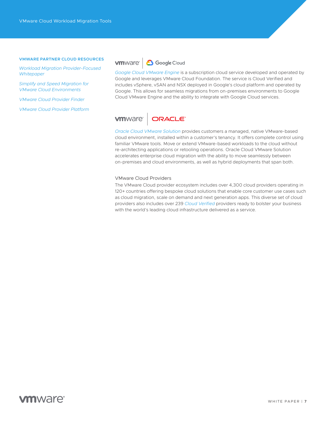#### **VMWARE PARTNER CLOUD RESOURCES**

*[Workload Migration Provider-Focused](https://www.vmware.com/content/dam/digitalmarketing/vmware/en/pdf/vcloud/vmware-workload-migration-provider-focused-whitepaper.pdf)  [Whitepaper](https://www.vmware.com/content/dam/digitalmarketing/vmware/en/pdf/vcloud/vmware-workload-migration-provider-focused-whitepaper.pdf)*

*[Simplify and Speed Migration for](https://cloudsolutions.vmware.com/assets/bltabc247a1c8cd5b5b/Simplify_and_Speed_Migration_for_VMware_Cloud_Environments.pdf)  [VMware Cloud Environments](https://cloudsolutions.vmware.com/assets/bltabc247a1c8cd5b5b/Simplify_and_Speed_Migration_for_VMware_Cloud_Environments.pdf)*

*[VMware Cloud Provider Finder](https://cloud.vmware.com/providers/?gclid=Cj0KCQiA3NX_BRDQARIsALA3fILqIOBczd0ljjjCItX_idXx1LP8RYPbkHqhVpY46Urw_WWiF6lSlY4aAipIEALw_wcB&gclsrc=aw.ds)*

*[VMware Cloud Provider Platform](https://cloudsolutions.vmware.com/)*

#### **vm**ware<sup>®</sup> **6** Google Cloud

*[Google Cloud VMware Engine](https://cloud.vmware.com/google-cloud)* is a subscription cloud service developed and operated by Google and leverages VMware Cloud Foundation. The service is Cloud Verified and includes vSphere, vSAN and NSX deployed in Google's cloud platform and operated by Google. This allows for seamless migrations from on-premises environments to Google Cloud VMware Engine and the ability to integrate with Google Cloud services.

#### **vm**ware<sup>®</sup> ORACLE

*[Oracle Cloud VMware Solution](https://cloud.vmware.com/oracle-cloud)* provides customers a managed, native VMware-based cloud environment, installed within a customer's tenancy. It offers complete control using familiar VMware tools. Move or extend VMware-based workloads to the cloud without re-architecting applications or retooling operations. Oracle Cloud VMware Solution accelerates enterprise cloud migration with the ability to move seamlessly between on-premises and cloud environments, as well as hybrid deployments that span both.

#### VMware Cloud Providers

The VMware Cloud provider ecosystem includes over 4,300 cloud providers operating in 120+ countries offering bespoke cloud solutions that enable core customer use cases such as cloud migration, scale on demand and next generation apps. This diverse set of cloud providers also includes over 239 *[Cloud Verified](https://cloud.vmware.com/providers/vmware-cloud-verified)* providers ready to bolster your business with the world's leading cloud infrastructure delivered as a service.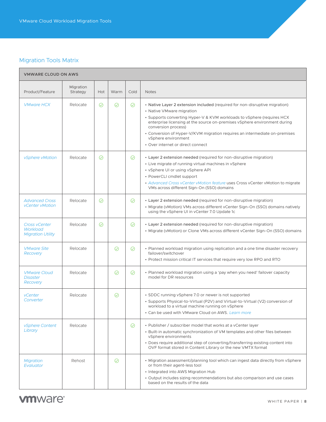### <span id="page-7-0"></span>Migration Tools Matrix

 $\blacksquare$ 

| <b>VMWARE CLOUD ON AWS</b>                                          |                       |         |         |         |                                                                                                                                                                                                                                                                                                                                                                                                                                  |  |  |  |
|---------------------------------------------------------------------|-----------------------|---------|---------|---------|----------------------------------------------------------------------------------------------------------------------------------------------------------------------------------------------------------------------------------------------------------------------------------------------------------------------------------------------------------------------------------------------------------------------------------|--|--|--|
| Product/Feature                                                     | Migration<br>Strategy | Hot     | Warm    | Cold    | <b>Notes</b>                                                                                                                                                                                                                                                                                                                                                                                                                     |  |  |  |
| <b>VMware HCX</b>                                                   | Relocate              | ⊘       | ⊘       | ⊘       | • Native Layer 2 extension included (required for non-disruptive migration)<br>• Native VMware migration<br>• Supports converting Hyper-V & KVM workloads to vSphere (requires HCX<br>enterprise licensing at the source on-premises vSphere environment during<br>conversion process)<br>• Conversion of Hyper-V/KVM migration requires an intermediate on-premises<br>vSphere environment<br>• Over internet or direct connect |  |  |  |
| vSphere vMotion                                                     | Relocate              | ⊘       |         | $\odot$ | • Layer 2 extension needed (required for non-disruptive migration)<br>• Live migrate of running virtual machines in vSphere<br>• vSphere UI or using vSphere API<br>• PowerCLI cmdlet support<br>• Advanced Cross vCenter vMotion feature uses Cross vCenter vMotion to migrate<br>VMs across different Sign-On (SSO) domains                                                                                                    |  |  |  |
| <b>Advanced Cross</b><br><b>vCenter vMotion</b>                     | Relocate              | $\odot$ |         | $\odot$ | • Layer 2 extension needed (required for non-disruptive migration)<br>• Migrate (vMotion) VMs across different vCenter Sign-On (SSO) domains natively<br>using the vSphere UI in vCenter 7.0 Update 1c                                                                                                                                                                                                                           |  |  |  |
| <b>Cross vCenter</b><br><b>Workload</b><br><b>Migration Utility</b> | Relocate              | $\odot$ |         | $\odot$ | • Layer 2 extension needed (required for non-disruptive migration)<br>· Migrate (vMotion) or Clone VMs across different vCenter Sign-On (SSO) domains                                                                                                                                                                                                                                                                            |  |  |  |
| <b>VMware Site</b><br>Recovery                                      | Relocate              |         | ⊘       | $\odot$ | • Planned workload migration using replication and a one time disaster recovery<br>failover/switchover<br>• Protect mission critical IT services that require very low RPO and RTO                                                                                                                                                                                                                                               |  |  |  |
| <b>VMware Cloud</b><br><b>Disaster</b><br>Recovery                  | Relocate              |         | $\odot$ | $\odot$ | • Planned workload migration using a 'pay when you need' failover capacity<br>model for DR resources                                                                                                                                                                                                                                                                                                                             |  |  |  |
| <i>vCenter</i><br>Converter                                         | Relocate              |         | $\odot$ |         | • SDDC running vSphere 7.0 or newer is not supported<br>• Supports Physical-to-Virtual (P2V) and Virtual-to-Virtual (V2) conversion of<br>workload to a virtual machine running on vSphere<br>• Can be used with VMware Cloud on AWS, Learn more                                                                                                                                                                                 |  |  |  |
| vSphere Content<br>Library                                          | Relocate              |         |         | $\odot$ | • Publisher / subscriber model that works at a vCenter layer<br>• Built-in automatic synchronization of VM templates and other files between<br>vSphere environments<br>• Does require additional step of converting/transferring existing content into<br>OVF format stored in Content Library or the new VMTX format                                                                                                           |  |  |  |
| <b>Migration</b><br>Evaluator                                       | Rehost                |         | ⊘       |         | • Migration assessment/planning tool which can ingest data directly from vSphere<br>or from their agent-less tool<br>• Integrated into AWS Migration Hub<br>• Output includes sizing recommendations but also comparison and use cases<br>based on the results of the data                                                                                                                                                       |  |  |  |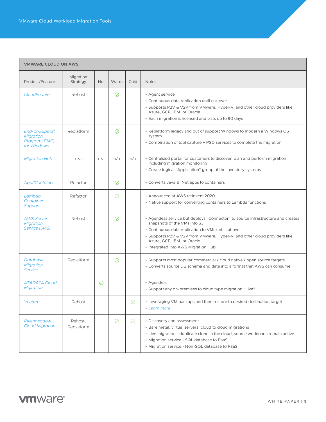| <b>VMWARE CLOUD ON AWS</b>                                         |                       |         |         |         |                                                                                                                                                                                                                                                                                                                           |  |  |  |
|--------------------------------------------------------------------|-----------------------|---------|---------|---------|---------------------------------------------------------------------------------------------------------------------------------------------------------------------------------------------------------------------------------------------------------------------------------------------------------------------------|--|--|--|
| Product/Feature                                                    | Migration<br>Strategy | Hot     | Warm    | Cold    | <b>Notes</b>                                                                                                                                                                                                                                                                                                              |  |  |  |
| CloudEndure                                                        | Rehost                |         | ⊘       |         | • Agent service<br>• Continuous data replication until cut-over<br>• Supports P2V & V2V from VMware, Hyper-V, and other cloud providers like<br>Azure, GCP, IBM, or Oracle<br>• Each migration is licensed and lasts up to 90 days                                                                                        |  |  |  |
| End-of-Support<br><b>Migration</b><br>Program (EMP)<br>for Windows | Replatform            |         | ⊘       |         | • Replatform legacy and out of support Windows to modern a Windows OS<br>system<br>• Combination of tool capture + PSO services to complete the migration                                                                                                                                                                 |  |  |  |
| <b>Migration Hub</b>                                               | n/a                   | n/a     | n/a     | n/a     | • Centralized portal for customers to discover, plan and perform migration<br>including migration monitoring<br>• Create logical "Application" group of the inventory systems                                                                                                                                             |  |  |  |
| App2Container                                                      | Refactor              |         | $\odot$ |         | • Converts Java & . Net apps to containers                                                                                                                                                                                                                                                                                |  |  |  |
| Lambda<br>Container<br>Support                                     | Refactor              |         | ⊘       |         | • Announced at AWS re: Invent 2020<br>• Native support for converting containers to Lambda functions                                                                                                                                                                                                                      |  |  |  |
| <b>AWS Server</b><br><b>Migration</b><br>Service (SMS)             | Rehost                |         | ⊘       |         | • Agentless service but deploys "Connector" to source infrastructure and creates<br>snapshots of the VMs into S3<br>• Continuous data replication to VMs until cut over<br>• Supports P2V & V2V from VMware, Hyper-V, and other cloud providers like<br>Azure, GCP, IBM, or Oracle<br>• Integrated into AWS Migration Hub |  |  |  |
| Database<br><b>Migration</b><br><b>Service</b>                     | Replatform            |         | ⊘       |         | • Supports most popular commercial / cloud native / open source targets<br>• Converts source DB schema and data into a format that AWS can consume                                                                                                                                                                        |  |  |  |
| <b>ATADATA Cloud</b><br><b>Migration</b>                           |                       | $\odot$ |         |         | • Agentless<br>• Support any on-premises to cloud type migration "Live"                                                                                                                                                                                                                                                   |  |  |  |
| Veeam                                                              | Rehost                |         |         | $\odot$ | • Leveraging VM backups and then restore to desired destination target<br>• Learn more                                                                                                                                                                                                                                    |  |  |  |
| Rivermeadow<br><b>Cloud Migration</b>                              | Rehost.<br>Replatform |         | $\odot$ | ⊘       | • Discovery and assessment<br>• Bare metal, virtual servers, cloud to cloud migrations<br>• Live migration - duplicate clone in the cloud; source workloads remain active<br>• Migration service - SQL database to PaaS<br>• Migration service - Non-SQL database to PaaS                                                 |  |  |  |

### **vm**ware<sup>®</sup>

۰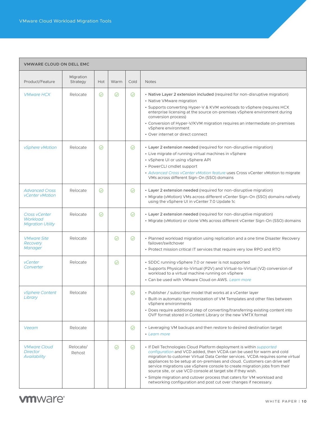#### **VMWARE CLOUD ON DELL EMC**

<span id="page-9-0"></span>Ш

| Product/Feature                                                     | Migration<br>Strategy | Hot     | Warm | Cold    | <b>Notes</b>                                                                                                                                                                                                                                                                                                                                                                                                                                                                                                                                                                                                   |
|---------------------------------------------------------------------|-----------------------|---------|------|---------|----------------------------------------------------------------------------------------------------------------------------------------------------------------------------------------------------------------------------------------------------------------------------------------------------------------------------------------------------------------------------------------------------------------------------------------------------------------------------------------------------------------------------------------------------------------------------------------------------------------|
| <b>VMware HCX</b>                                                   | Relocate              | $\odot$ | ⊘    | ⊘       | • Native Layer 2 extension included (required for non-disruptive migration)<br>• Native VMware migration<br>. Supports converting Hyper-V & KVM workloads to vSphere (requires HCX)<br>enterprise licensing at the source on-premises vSphere environment during<br>conversion process)<br>• Conversion of Hyper-V/KVM migration requires an intermediate on-premises<br>vSphere environment<br>• Over internet or direct connect                                                                                                                                                                              |
| <i>vSphere vMotion</i>                                              | Relocate              | $\odot$ |      | $\odot$ | • Layer 2 extension needed (required for non-disruptive migration)<br>• Live migrate of running virtual machines in vSphere<br>• vSphere UI or using vSphere API<br>• PowerCLI cmdlet support<br>• Advanced Cross vCenter vMotion feature uses Cross vCenter vMotion to migrate<br>VMs across different Sign-On (SSO) domains                                                                                                                                                                                                                                                                                  |
| <b>Advanced Cross</b><br><b>vCenter vMotion</b>                     | Relocate              | $\odot$ |      | $\odot$ | • Layer 2 extension needed (required for non-disruptive migration)<br>• Migrate (vMotion) VMs across different vCenter Sign-On (SSO) domains natively<br>using the vSphere UI in vCenter 7.0 Update 1c                                                                                                                                                                                                                                                                                                                                                                                                         |
| <b>Cross vCenter</b><br><b>Workload</b><br><b>Migration Utility</b> | Relocate              | ⊘       |      | $\odot$ | • Layer 2 extension needed (required for non-disruptive migration)<br>· Migrate (vMotion) or clone VMs across different vCenter Sign-On (SSO) domains                                                                                                                                                                                                                                                                                                                                                                                                                                                          |
| <b>VMware Site</b><br>Recovery<br>Manager                           | Relocate              |         | ⊘    | ⊘       | • Planned workload migration using replication and a one time Disaster Recovery<br>failover/switchover<br>• Protect mission critical IT services that require very low RPO and RTO                                                                                                                                                                                                                                                                                                                                                                                                                             |
| vCenter<br>Converter                                                | Relocate              |         | ⊘    |         | • SDDC running vSphere 7.0 or newer is not supported<br>• Supports Physical-to-Virtual (P2V) and Virtual-to-Virtual (V2) conversion of<br>workload to a virtual machine running on vSphere<br>• Can be used with VMware Cloud on AWS. Learn more                                                                                                                                                                                                                                                                                                                                                               |
| <i>vSphere Content</i><br>Library                                   | Relocate              |         |      | $\odot$ | • Publisher / subscriber model that works at a vCenter layer<br>• Built-in automatic synchronization of VM Templates and other files between<br>vSphere environments<br>• Does require additional step of converting/transferring existing content into<br>OVF format stored in Content Library or the new VMTX format                                                                                                                                                                                                                                                                                         |
| Veeam                                                               | Relocate              |         |      | $\odot$ | • Leveraging VM backups and then restore to desired destination target<br>• Learn more                                                                                                                                                                                                                                                                                                                                                                                                                                                                                                                         |
| <b>VMware Cloud</b><br><b>Director</b><br>Availability              | Relocate/<br>Rehost   |         | ⊘    | $\odot$ | • If Dell Technologies Cloud Platform deployment is within <i>supported</i><br>configuration and VCD added, then VCDA can be used for warm and cold<br>migration to customer Virtual Data Center services. VCDA requires some virtual<br>appliances to be setup at on-premises and cloud. Customers can drive self<br>service migrations use vSphere console to create migration jobs from their<br>source site, or use VCD console at target site if they wish.<br>• Simple migration and cutover process that caters for VM workload and<br>networking configuration and post cut over changes if necessary. |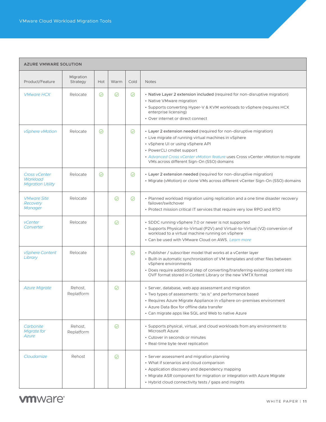#### <span id="page-10-0"></span>**AZURE VMWARE SOLUTION**

| Product/Feature                                              | Migration<br>Strategy | Hot     | Warm | Cold    | <b>Notes</b>                                                                                                                                                                                                                                                                                                                  |
|--------------------------------------------------------------|-----------------------|---------|------|---------|-------------------------------------------------------------------------------------------------------------------------------------------------------------------------------------------------------------------------------------------------------------------------------------------------------------------------------|
| <b>VMware HCX</b>                                            | Relocate              | ⊘       | ⊘    | ⊘       | • Native Layer 2 extension included (required for non-disruptive migration)<br>• Native VMware migration<br>. Supports converting Hyper-V & KVM workloads to vSphere (requires HCX)<br>enterprise licensing)<br>• Over internet or direct connect                                                                             |
| vSphere vMotion                                              | Relocate              | $\odot$ |      | ⊘       | • Layer 2 extension needed (required for non-disruptive migration)<br>• Live migrate of running virtual machines in vSphere<br>• vSphere UI or using vSphere API<br>• PowerCLI cmdlet support<br>• Advanced Cross vCenter vMotion feature uses Cross vCenter vMotion to migrate<br>VMs across different Sign-On (SSO) domains |
| <b>Cross vCenter</b><br>Workload<br><b>Migration Utility</b> | Relocate              | ⊘       |      | $\odot$ | • Layer 2 extension needed (required for non-disruptive migration)<br>• Migrate (vMotion) or clone VMs across different vCenter Sign-On (SSO) domains                                                                                                                                                                         |
| <b>VMware Site</b><br>Recovery<br><b>Manager</b>             | Relocate              |         | ⊘    | ⊘       | • Planned workload migration using replication and a one time disaster recovery<br>failover/switchover<br>• Protect mission critical IT services that require very low RPO and RTO                                                                                                                                            |
| vCenter<br>Converter                                         | Relocate              |         | ⊘    |         | • SDDC running vSphere 7.0 or newer is not supported<br>• Supports Physical-to-Virtual (P2V) and Virtual-to-Virtual (V2) conversion of<br>workload to a virtual machine running on vSphere<br>• Can be used with VMware Cloud on AWS. Learn more                                                                              |
| <i>vSphere Content</i><br>Library                            | Relocate              |         |      | ⊘       | • Publisher / subscriber model that works at a vCenter layer<br>• Built-in automatic synchronization of VM templates and other files between<br>vSphere environments<br>• Does require additional step of converting/transferring existing content into<br>OVF format stored in Content Library or the new VMTX format        |
| <b>Azure Migrate</b>                                         | Rehost.<br>Replatform |         | ⊘    |         | · Server, database, web app assessment and migration<br>• Two types of assessments: "as is" and performance based<br>• Requires Azure Migrate Appliance in vSphere on-premises environment<br>• Azure Data Box for offline data transfer<br>• Can migrate apps like SQL and Web to native Azure                               |
| Carbonite<br>Migrate for<br>Azure                            | Rehost.<br>Replatform |         | ⊘    |         | • Supports physical, virtual, and cloud workloads from any environment to<br>Microsoft Azure<br>• Cutover in seconds or minutes<br>• Real-time byte-level replication                                                                                                                                                         |
| Cloudamize                                                   | Rehost                |         | ⊘    |         | • Server assessment and migration planning<br>• What if scenarios and cloud comparison<br>• Application discovery and dependency mapping<br>• Migrate ASR component for migration or integration with Azure Migrate<br>• Hybrid cloud connectivity tests / gaps and insights                                                  |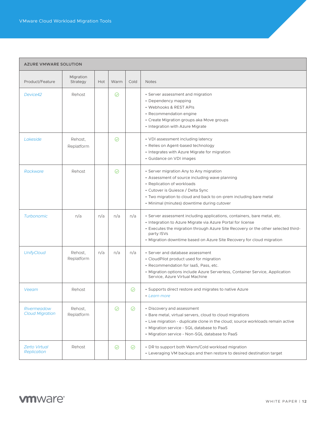| <b>AZURE VMWARE SOLUTION</b>               |                       |            |         |         |                                                                                                                                                                                                                                                                                                                     |  |  |
|--------------------------------------------|-----------------------|------------|---------|---------|---------------------------------------------------------------------------------------------------------------------------------------------------------------------------------------------------------------------------------------------------------------------------------------------------------------------|--|--|
| Product/Feature                            | Migration<br>Strategy | <b>Hot</b> | Warm    | Cold    | <b>Notes</b>                                                                                                                                                                                                                                                                                                        |  |  |
| Device42                                   | Rehost                |            | $\odot$ |         | • Server assessment and migration<br>• Dependency mapping<br>• Webhooks & REST APIs<br>• Recommendation engine<br>• Create Migration groups aka Move groups<br>• Integration with Azure Migrate                                                                                                                     |  |  |
| Lakeside                                   | Rehost.<br>Replatform |            | ⊘       |         | • VDI assessment including latency<br>• Relies on Agent-based technology<br>• Integrates with Azure Migrate for migration<br>• Guidance on VDI images                                                                                                                                                               |  |  |
| <b>Rackware</b>                            | Rehost                |            | ⊘       |         | • Server migration Any to Any migration<br>• Assessment of source including wave planning<br>• Replication of workloads<br>• Cutover is Quiesce / Delta Sync<br>• Two migration to cloud and back to on-prem including bare metal<br>• Minimal (minutes) downtime during cutover                                    |  |  |
| <b>Turbonomic</b>                          | n/a                   | n/a        | n/a     | n/a     | · Server assessment including applications, containers, bare metal, etc.<br>• Integration to Azure Migrate via Azure Portal for license<br>• Executes the migration through Azure Site Recovery or the other selected third-<br>party ISVs<br>• Migration downtime based on Azure Site Recovery for cloud migration |  |  |
| <b>UnifyCloud</b>                          | Rehost.<br>Replatform | n/a        | n/a     | n/a     | • Server and database assessment<br>• CloudPilot product used for migration<br>· Recommendation for laaS, Pass, etc.<br>• Migration options include Azure Serverless, Container Service, Application<br>Service, Azure Virtual Machine                                                                              |  |  |
| Veeam                                      | Rehost                |            |         | $\odot$ | • Supports direct restore and migrates to native Azure<br>• Learn more                                                                                                                                                                                                                                              |  |  |
| Rivermeadow<br><b>Cloud Migration</b>      | Rehost,<br>Replatform |            | $\odot$ | $\odot$ | • Discovery and assessment<br>• Bare metal, virtual servers, cloud to cloud migrations<br>• Live migration - duplicate clone in the cloud; source workloads remain active<br>• Migration service - SQL database to PaaS<br>• Migration service - Non-SQL database to PaaS                                           |  |  |
| <b>Zerto Virtual</b><br><b>Replication</b> | Rehost                |            | $\odot$ | $\odot$ | • DR to support both Warm/Cold workload migration<br>• Leveraging VM backups and then restore to desired destination target                                                                                                                                                                                         |  |  |

### **vm**ware<sup>®</sup>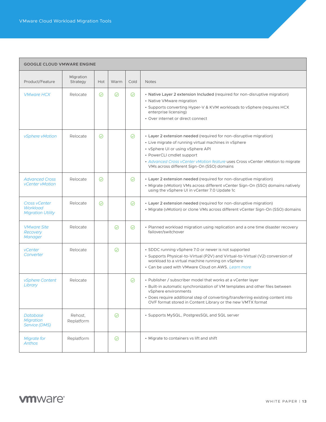#### <span id="page-12-0"></span>**GOOGLE CLOUD VMWARE ENGINE**

|                                                              | Migration             |         |         |         |                                                                                                                                                                                                                                                                                                                               |
|--------------------------------------------------------------|-----------------------|---------|---------|---------|-------------------------------------------------------------------------------------------------------------------------------------------------------------------------------------------------------------------------------------------------------------------------------------------------------------------------------|
| Product/Feature                                              | Strategy              | Hot     | Warm    | Cold    | <b>Notes</b>                                                                                                                                                                                                                                                                                                                  |
| <b>VMware HCX</b>                                            | Relocate              | $\odot$ | $\odot$ | $\odot$ | • Native Layer 2 extension Included (required for non-disruptive migration)<br>• Native VMware migration<br>• Supports converting Hyper-V & KVM workloads to vSphere (requires HCX)<br>enterprise licensing)<br>• Over internet or direct connect                                                                             |
| vSphere vMotion                                              | Relocate              | $\odot$ |         | $\odot$ | • Layer 2 extension needed (required for non-disruptive migration)<br>• Live migrate of running virtual machines in vSphere<br>• vSphere UI or using vSphere API<br>• PowerCLI cmdlet support<br>• Advanced Cross vCenter vMotion feature uses Cross vCenter vMotion to migrate<br>VMs across different Sign-On (SSO) domains |
| <b>Advanced Cross</b><br><b>vCenter vMotion</b>              | Relocate              | $\odot$ |         | $\odot$ | • Layer 2 extension needed (required for non-disruptive migration)<br>• Migrate (vMotion) VMs across different vCenter Sign-On (SSO) domains natively<br>using the vSphere UI in vCenter 7.0 Update 1c                                                                                                                        |
| <b>Cross vCenter</b><br>Workload<br><b>Migration Utility</b> | Relocate              | ⊘       |         | $\odot$ | • Layer 2 extension needed (required for non-disruptive migration)<br>· Migrate (vMotion) or clone VMs across different vCenter Sign-On (SSO) domains                                                                                                                                                                         |
| <b>VMware Site</b><br>Recovery<br>Manager                    | Relocate              |         | ⊘       | ⊘       | • Planned workload migration using replication and a one time disaster recovery<br>failover/switchover                                                                                                                                                                                                                        |
| <b>vCenter</b><br>Converter                                  | Relocate              |         | ⊘       |         | • SDDC running vSphere 7.0 or newer is not supported<br>• Supports Physical-to-Virtual (P2V) and Virtual-to-Virtual (V2) conversion of<br>workload to a virtual machine running on vSphere<br>• Can be used with VMware Cloud on AWS, Learn more                                                                              |
| <i>vSphere Content</i><br>Library                            | Relocate              |         |         | $\odot$ | • Publisher / subscriber model that works at a vCenter layer<br>• Built-in automatic synchronization of VM templates and other files between<br>vSphere environments<br>• Does require additional step of converting/transferring existing content into<br>OVF format stored in Content Library or the new VMTX format        |
| <b>Database</b><br><b>Migration</b><br>Service (DMS)         | Rehost.<br>Replatform |         | $\odot$ |         | · Supports MySQL, PostgresSQL and SQL server                                                                                                                                                                                                                                                                                  |
| <b>Migrate for</b><br><b>Anthos</b>                          | Replatform            |         | $\odot$ |         | • Migrate to containers vs lift and shift                                                                                                                                                                                                                                                                                     |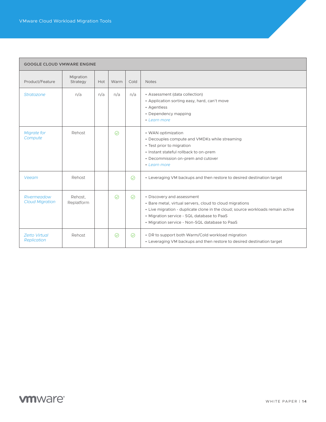$\Box$ 

| <b>GOOGLE CLOUD VMWARE ENGINE</b>          |                       |     |         |         |                                                                                                                                                                                                                                                                           |  |  |
|--------------------------------------------|-----------------------|-----|---------|---------|---------------------------------------------------------------------------------------------------------------------------------------------------------------------------------------------------------------------------------------------------------------------------|--|--|
| Product/Feature                            | Migration<br>Strategy | Hot | Warm    | Cold    | <b>Notes</b>                                                                                                                                                                                                                                                              |  |  |
| Stratozone                                 | n/a                   | n/a | n/a     | n/a     | • Assessment (data collection)<br>• Application sorting easy, hard, can't move<br>• Agentless<br>• Dependency mapping<br>• Learn more                                                                                                                                     |  |  |
| <b>Migrate for</b><br>Compute              | Rehost                |     | $\odot$ |         | • WAN optimization<br>• Decouples compute and VMDKs while streaming<br>• Test prior to migration<br>• Instant stateful rollback to on-prem<br>• Decommission on-prem and cutover<br>• Learn more                                                                          |  |  |
| Veeam                                      | Rehost                |     |         | $\odot$ | • Leveraging VM backups and then restore to desired destination target                                                                                                                                                                                                    |  |  |
| Rivermeadow<br><b>Cloud Migration</b>      | Rehost.<br>Replatform |     | $\odot$ | $\odot$ | • Discovery and assessment<br>• Bare metal, virtual servers, cloud to cloud migrations<br>• Live migration - duplicate clone in the cloud; source workloads remain active<br>• Migration service - SQL database to PaaS<br>• Migration service - Non-SQL database to PaaS |  |  |
| <b>Zerto Virtual</b><br><b>Replication</b> | Rehost                |     | $\odot$ | $\odot$ | • DR to support both Warm/Cold workload migration<br>• Leveraging VM backups and then restore to desired destination target                                                                                                                                               |  |  |

### **vm**ware<sup>®</sup>

T.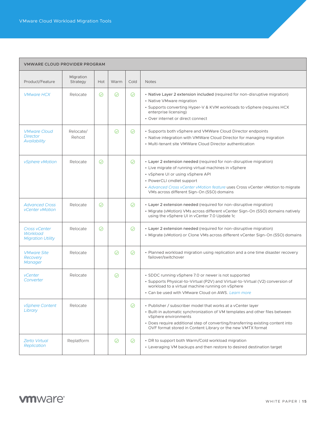#### <span id="page-14-0"></span>**VMWARE CLOUD PROVIDER PROGRAM**

| Product/Feature                                               | Migration<br>Strategy | Hot     | Warm    | Cold    | <b>Notes</b>                                                                                                                                                                                                                                                                                                                  |
|---------------------------------------------------------------|-----------------------|---------|---------|---------|-------------------------------------------------------------------------------------------------------------------------------------------------------------------------------------------------------------------------------------------------------------------------------------------------------------------------------|
| <b>VMware HCX</b>                                             | Relocate              | $\odot$ | ⊘       | ⊘       | • Native Layer 2 extension included (required for non-disruptive migration)<br>• Native VMware migration<br>• Supports converting Hyper-V & KVM workloads to vSphere (requires HCX)<br>enterprise licensing)<br>• Over internet or direct connect                                                                             |
| <b>VMware Cloud</b><br><b>Director</b><br><b>Availability</b> | Relocate/<br>Rehost   |         | ⊘       | ⊘       | • Supports both vSphere and VMWare Cloud Director endpoints<br>• Native integration with VMWare Cloud Director for managing migration<br>• Multi-tenant site VMWare Cloud Director authentication                                                                                                                             |
| <i>vSphere vMotion</i>                                        | Relocate              | $\odot$ |         | $\odot$ | • Layer 2 extension needed (required for non-disruptive migration)<br>• Live migrate of running virtual machines in vSphere<br>• vSphere UI or using vSphere API<br>• PowerCLI cmdlet support<br>• Advanced Cross vCenter vMotion feature uses Cross vCenter vMotion to migrate<br>VMs across different Sign-On (SSO) domains |
| <b>Advanced Cross</b><br><b>vCenter vMotion</b>               | Relocate              | $\odot$ |         | $\odot$ | • Layer 2 extension needed (required for non-disruptive migration)<br>• Migrate (vMotion) VMs across different vCenter Sign-On (SSO) domains natively<br>using the vSphere UI in vCenter 7.0 Update 1c                                                                                                                        |
| <b>Cross vCenter</b><br>Workload<br><b>Migration Utility</b>  | Relocate              | $\odot$ |         | $\odot$ | • Layer 2 extension needed (required for non-disruptive migration)<br>• Migrate (vMotion) or Clone VMs across different vCenter Sign-On (SSO) domains                                                                                                                                                                         |
| <b>VMware Site</b><br>Recovery<br><b>Manager</b>              | Relocate              |         | ⊘       | ⊘       | • Planned workload migration using replication and a one time disaster recovery<br>failover/switchover                                                                                                                                                                                                                        |
| vCenter<br>Converter                                          | Relocate              |         | ⊘       |         | • SDDC running vSphere 7.0 or newer is not supported<br>• Supports Physical-to-Virtual (P2V) and Virtual-to-Virtual (V2) conversion of<br>workload to a virtual machine running on vSphere<br>• Can be used with VMware Cloud on AWS. Learn more                                                                              |
| vSphere Content<br>Library                                    | Relocate              |         |         | $\odot$ | • Publisher / subscriber model that works at a vCenter layer<br>• Built-in automatic synchronization of VM templates and other files between<br>vSphere environments<br>• Does require additional step of converting/transferring existing content into<br>OVF format stored in Content Library or the new VMTX format        |
| <b>Zerto Virtual</b><br><b>Replication</b>                    | Replatform            |         | $\odot$ | $\odot$ | • DR to support both Warm/Cold workload migration<br>• Leveraging VM backups and then restore to desired destination target                                                                                                                                                                                                   |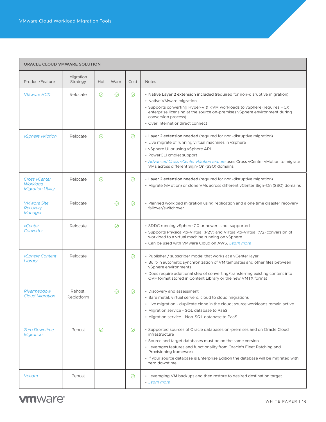#### <span id="page-15-0"></span>**ORACLE CLOUD VMWARE SOLUTION**

| Product/Feature                                              | Migration<br>Strategy | Hot     | Warm    | Cold    | <b>Notes</b>                                                                                                                                                                                                                                                                                                                                                       |
|--------------------------------------------------------------|-----------------------|---------|---------|---------|--------------------------------------------------------------------------------------------------------------------------------------------------------------------------------------------------------------------------------------------------------------------------------------------------------------------------------------------------------------------|
| <b>VMware HCX</b>                                            | Relocate              | $\odot$ | $\odot$ | $\odot$ | • Native Layer 2 extension included (required for non-disruptive migration)<br>• Native VMware migration<br>• Supports converting Hyper-V & KVM workloads to vSphere (requires HCX<br>enterprise licensing at the source on-premises vSphere environment during<br>conversion process)<br>• Over internet or direct connect                                        |
| vSphere vMotion                                              | Relocate              | $\odot$ |         | $\odot$ | • Layer 2 extension needed (required for non-disruptive migration)<br>• Live migrate of running virtual machines in vSphere<br>• vSphere UI or using vSphere API<br>• PowerCLI cmdlet support<br>• Advanced Cross vCenter vMotion feature uses Cross vCenter vMotion to migrate<br>VMs across different Sign-On (SSO) domains                                      |
| <b>Cross vCenter</b><br>Workload<br><b>Migration Utility</b> | Relocate              | ⊘       |         | $\odot$ | • Layer 2 extension needed (required for non-disruptive migration)<br>• Migrate (vMotion) or clone VMs across different vCenter Sign-On (SSO) domains                                                                                                                                                                                                              |
| <b>VMware Site</b><br>Recovery<br>Manager                    | Relocate              |         | ⊘       | ⊘       | • Planned workload migration using replication and a one time disaster recovery<br>failover/switchover                                                                                                                                                                                                                                                             |
| vCenter<br>Converter                                         | Relocate              |         | ⊘       |         | • SDDC running vSphere 7.0 or newer is not supported<br>• Supports Physical-to-Virtual (P2V) and Virtual-to-Virtual (V2) conversion of<br>workload to a vrtual machine running on vSphere<br>• Can be used with VMware Cloud on AWS, Learn more                                                                                                                    |
| <i>vSphere Content</i><br>Library                            | Relocate              |         |         | $\odot$ | • Publisher / subscriber model that works at a vCenter layer<br>• Built-in automatic synchronization of VM templates and other files between<br>vSphere environments<br>• Does require additional step of converting/transferring existing content into<br>OVF format stored in Content Library or the new VMTX format                                             |
| <b>Rivermeadow</b><br><b>Cloud Migration</b>                 | Rehost.<br>Replatform |         | ⊘       | ⊘       | • Discovery and assessment<br>• Bare metal, virtual servers, cloud to cloud migrations<br>• Live migration - duplicate clone in the cloud; source workloads remain active<br>• Migration service - SQL database to PaaS<br>• Migration service - Non-SQL database to PaaS                                                                                          |
| <b>Zero Downtime</b><br><b>Migration</b>                     | Rehost                | $\odot$ |         | $\odot$ | • Supported sources of Oracle databases on-premises and on Oracle Cloud<br>infrastructure<br>• Source and target databases must be on the same version<br>• Leverages features and functionality from Oracle's Fleet Patching and<br>Provisioning framework<br>. If your source database is Enterprise Edition the database will be migrated with<br>zero downtime |
| Veeam                                                        | Rehost                |         |         | ⊘       | • Leveraging VM backups and then restore to desired destination target<br>• Learn more                                                                                                                                                                                                                                                                             |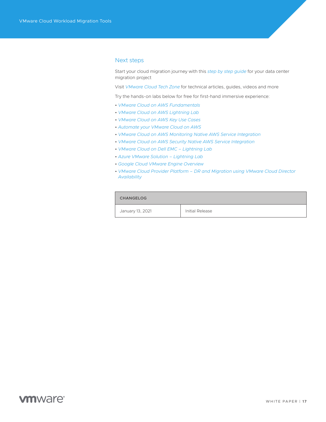#### <span id="page-16-0"></span>Next steps

Start your cloud migration journey with this *[step by step guide](https://vmc.vmware.com/solutions/migration/journey)* for your data center migration project

Visit *[VMware Cloud Tech Zone](http://vmc.techzone.vmware.com/)* for technical articles, guides, videos and more

Try the hands-on labs below for free for first-hand immersive experience:

- *[VMware Cloud on AWS Fundamentals](https://labs.hol.vmware.com/HOL/catalogs/lab/8144)*
- *[VMware Cloud on AWS Lightning Lab](https://my.vmware.com/en/web/vmware/evalcenter?p=vmc-on-aws-hol-lightning-21)*
- *[VMware Cloud on AWS Key Use Cases](https://labs.hol.vmware.com/HOL/catalogs/lab/8145)*
- *[Automate your VMware Cloud on AWS](https://labs.hol.vmware.com/HOL/catalogs/lab/8645)*
- *[VMware Cloud on AWS Monitoring Native AWS Service Integration](https://labs.hol.vmware.com/HOL/catalogs/lab/8902)*
- *[VMware Cloud on AWS Security Native AWS Service Integration](https://labs.hol.vmware.com/HOL/catalogs/lab/8903)*
- *[VMware Cloud on Dell EMC Lightning Lab](https://my.vmware.com/en/web/vmware/evalcenter?p=vmc-on-dell-emc-hol-lightning-21)*
- *[Azure VMware Solution Lightning Lab](https://my.vmware.com/en/web/vmware/evalcenter?p=azure-sol-hol-lightning-21)*
- *[Google Cloud VMware Engine Overview](https://labs.hol.vmware.com/HOL/catalogs/lab/8843)*
- *[VMware Cloud Provider Platform DR and Migration using VMware Cloud Director](https://labs.hol.vmware.com/HOL/catalogs/lab/8352)  [Availability](https://labs.hol.vmware.com/HOL/catalogs/lab/8352)*

#### **CHANGELOG**

January 13, 2021 | Initial Release

### **vm**ware<sup>®</sup>